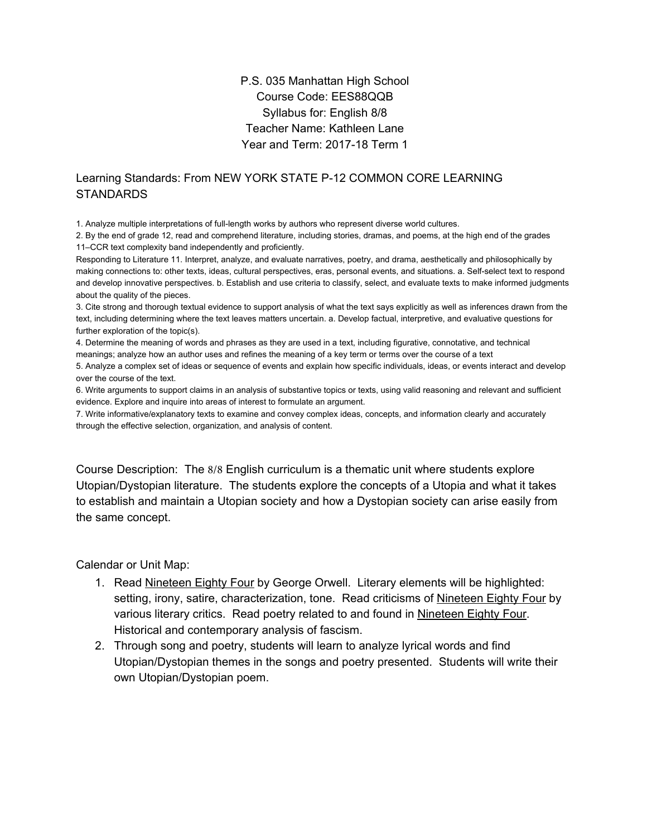## P.S. 035 Manhattan High School Course Code: EES88QQB Syllabus for: English 8/8 Teacher Name: Kathleen Lane Year and Term: 2017-18 Term 1

## Learning Standards: From NEW YORK STATE P-12 COMMON CORE LEARNING **STANDARDS**

1.Analyze multiple interpretations of full-length works by authors who represent diverse world cultures.

2.By the end of grade 12, read and comprehend literature, including stories, dramas, and poems, at the high end of the grades 11–CCR text complexity band independently and proficiently.

Responding to Literature 11. Interpret, analyze, and evaluate narratives, poetry, and drama, aesthetically and philosophically by making connections to: other texts, ideas, cultural perspectives, eras, personal events, and situations. a. Self-select text to respond and develop innovative perspectives. b. Establish and use criteria to classify, select, and evaluate texts to make informed judgments about the quality of the pieces.

3.Cite strong and thorough textual evidence to support analysis of what the text says explicitly as well as inferences drawn from the text, including determining where the text leaves matters uncertain. a. Develop factual, interpretive, and evaluative questions for further exploration of the topic(s).

4.Determine the meaning of words and phrases as they are used in a text, including figurative, connotative, and technical meanings; analyze how an author uses and refines the meaning of a key term or terms over the course of a text 5.Analyze a complex set of ideas or sequence of events and explain how specific individuals, ideas, or events interact and develop

over the course of the text.

6.Write arguments to support claims in an analysis of substantive topics or texts, using valid reasoning and relevant and sufficient evidence. Explore and inquire into areas of interest to formulate an argument.

7.Write informative/explanatory texts to examine and convey complex ideas, concepts, and information clearly and accurately through the effective selection, organization, and analysis of content.

Course Description: The 8/8 English curriculum is a thematic unit where students explore Utopian/Dystopian literature. The students explore the concepts of a Utopia and what it takes to establish and maintain a Utopian society and how a Dystopian society can arise easily from the same concept.

Calendar or Unit Map:

- 1. Read Nineteen Eighty Four by George Orwell. Literary elements will be highlighted: setting, irony, satire, characterization, tone. Read criticisms of Nineteen Eighty Four by various literary critics. Read poetry related to and found in Nineteen Eighty Four. Historical and contemporary analysis of fascism.
- 2. Through song and poetry, students will learn to analyze lyrical words and find Utopian/Dystopian themes in the songs and poetry presented. Students will write their own Utopian/Dystopian poem.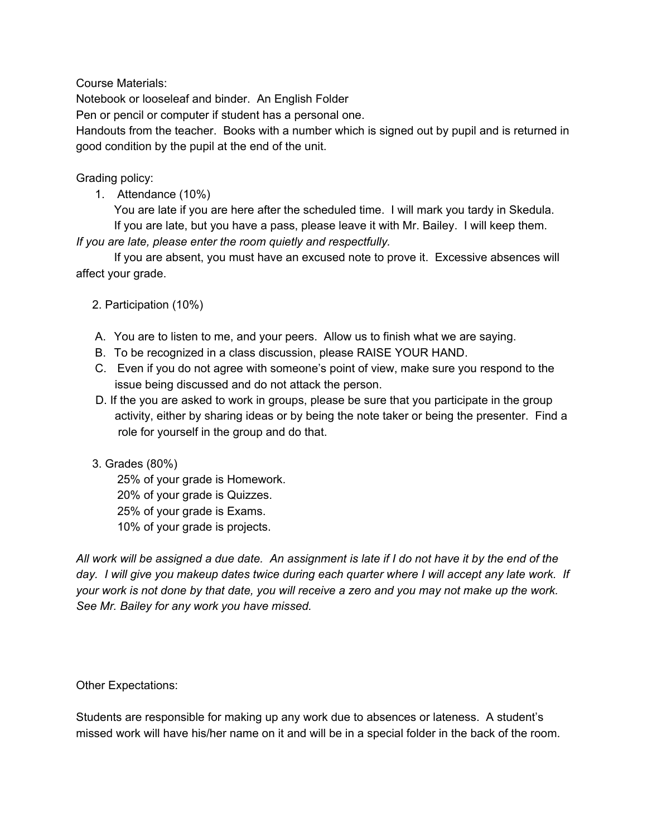Course Materials:

Notebook or looseleaf and binder. An English Folder

Pen or pencil or computer if student has a personal one.

Handouts from the teacher. Books with a number which is signed out by pupil and is returned in good condition by the pupil at the end of the unit.

Grading policy:

1. Attendance (10%)

You are late if you are here after the scheduled time. I will mark you tardy in Skedula. If you are late, but you have a pass, please leave it with Mr. Bailey. I will keep them.

*If you are late, please enter the room quietly and respectfully.*

If you are absent, you must have an excused note to prove it. Excessive absences will affect your grade.

2.Participation (10%)

- A. You are to listen to me, and your peers. Allow us to finish what we are saying.
- B. To be recognized in a class discussion, please RAISE YOUR HAND.
- C. Even if you do not agree with someone's point of view, make sure you respond to the issue being discussed and do not attack the person.
- D. If the you are asked to work in groups, please be sure that you participate in the group activity, either by sharing ideas or by being the note taker or being the presenter. Find a role for yourself in the group and do that.

## 3.Grades (80%)

25% of your grade is Homework. 20% of your grade is Quizzes. 25% of your grade is Exams. 10% of your grade is projects.

All work will be assigned a due date. An assignment is late if I do not have it by the end of the day. I will give you makeup dates twice during each quarter where I will accept any late work. If your work is not done by that date, you will receive a zero and you may not make up the work. *See Mr. Bailey for any work you have missed.* 

## Other Expectations:

Students are responsible for making up any work due to absences or lateness. A student's missed work will have his/her name on it and will be in a special folder in the back of the room.